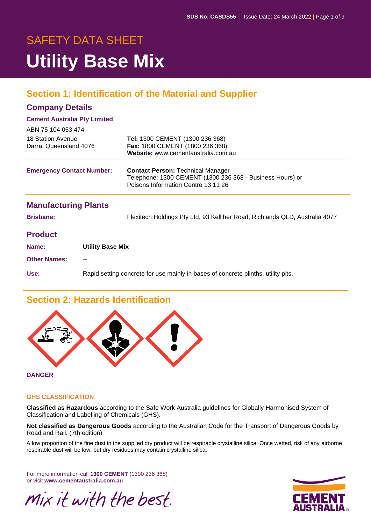# SAFETY DATA SHEET **Utility Base Mix**

# **Section 1: Identification of the Material and Supplier**

#### **Company Details**

#### **Cement Australia Pty Limited**

| ABN 75 104 053 474                          |                                                                                   |                                                                                                                                              |
|---------------------------------------------|-----------------------------------------------------------------------------------|----------------------------------------------------------------------------------------------------------------------------------------------|
| 18 Station Avenue<br>Darra, Queensland 4076 |                                                                                   | Tel: 1300 CEMENT (1300 236 368)<br>Fax: 1800 CEMENT (1800 236 368)<br>Website: www.cementaustralia.com.au                                    |
| <b>Emergency Contact Number:</b>            |                                                                                   | <b>Contact Person: Technical Manager</b><br>Telephone: 1300 CEMENT (1300 236 368 - Business Hours) or<br>Poisons Information Centre 13 11 26 |
| <b>Manufacturing Plants</b>                 |                                                                                   |                                                                                                                                              |
| <b>Brisbane:</b>                            |                                                                                   | Flexitech Holdings Pty Ltd, 93 Kelliher Road, Richlands QLD, Australia 4077                                                                  |
| <b>Product</b>                              |                                                                                   |                                                                                                                                              |
| Name:                                       | <b>Utility Base Mix</b>                                                           |                                                                                                                                              |
| <b>Other Names:</b>                         |                                                                                   |                                                                                                                                              |
| Use:                                        | Rapid setting concrete for use mainly in bases of concrete plinths, utility pits. |                                                                                                                                              |

# **Section 2: Hazards Identification**



**DANGER**

#### **GHS CLASSIFICATION**

**Classified as Hazardous** according to the Safe Work Australia guidelines for Globally Harmonised System of Classification and Labelling of Chemicals (GHS).

**Not classified as Dangerous Goods** according to the Australian Code for the Transport of Dangerous Goods by Road and Rail. (7th edition)

A low proportion of the fine dust in the supplied dry product will be respirable crystalline silica. Once wetted, risk of any airborne respirable dust will be low, but dry residues may contain crystalline silica.

For more information call **1300 CEMENT** (1300 236 368) or visit **www.cementaustralia.com.au**



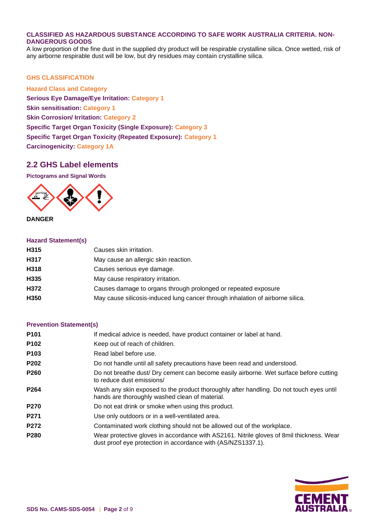#### **CLASSIFIED AS HAZARDOUS SUBSTANCE ACCORDING TO SAFE WORK AUSTRALIA CRITERIA. NON-DANGEROUS GOODS**

A low proportion of the fine dust in the supplied dry product will be respirable crystalline silica. Once wetted, risk of any airborne respirable dust will be low, but dry residues may contain crystalline silica.

#### **GHS CLASSIFICATION**

**Hazard Class and Category Serious Eye Damage/Eye Irritation: Category 1 Skin sensitisation: Category 1 Skin Corrosion/ Irritation: Category 2 Specific Target Organ Toxicity (Single Exposure): Category 3 Specific Target Organ Toxicity (Repeated Exposure): Category 1 Carcinogenicity: Category 1A**

#### **2.2 GHS Label elements**

**Pictograms and Signal Words**



**DANGER**

#### **Hazard Statement(s)**

| H315 | Causes skin irritation.                                                        |
|------|--------------------------------------------------------------------------------|
| H317 | May cause an allergic skin reaction.                                           |
| H318 | Causes serious eye damage.                                                     |
| H335 | May cause respiratory irritation.                                              |
| H372 | Causes damage to organs through prolonged or repeated exposure                 |
| H350 | May cause silicosis-induced lung cancer through inhalation of airborne silica. |
|      |                                                                                |

#### **Prevention Statement(s)**

| If medical advice is needed, have product container or label at hand.                                                                                    |
|----------------------------------------------------------------------------------------------------------------------------------------------------------|
| Keep out of reach of children.                                                                                                                           |
| Read label before use.                                                                                                                                   |
| Do not handle until all safety precautions have been read and understood.                                                                                |
| Do not breathe dust/ Dry cement can become easily airborne. Wet surface before cutting<br>to reduce dust emissions/                                      |
| Wash any skin exposed to the product thoroughly after handling. Do not touch eyes until<br>hands are thoroughly washed clean of material.                |
| Do not eat drink or smoke when using this product.                                                                                                       |
| Use only outdoors or in a well-ventilated area.                                                                                                          |
| Contaminated work clothing should not be allowed out of the workplace.                                                                                   |
| Wear protective gloves in accordance with AS2161. Nitrile gloves of 8mil thickness. Wear<br>dust proof eye protection in accordance with (AS/NZS1337.1). |
|                                                                                                                                                          |

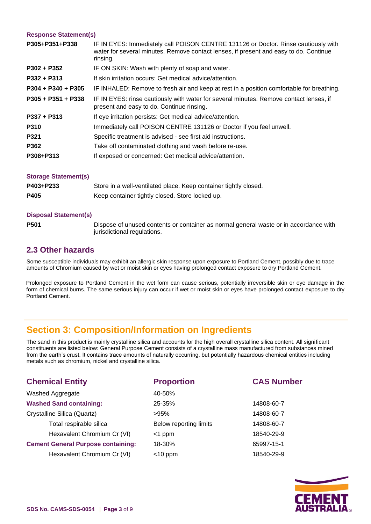#### **Response Statement(s)**

| P305+P351+P338       | IF IN EYES: Immediately call POISON CENTRE 131126 or Doctor. Rinse cautiously with<br>water for several minutes. Remove contact lenses, if present and easy to do. Continue<br>rinsing. |
|----------------------|-----------------------------------------------------------------------------------------------------------------------------------------------------------------------------------------|
| P302 + P352          | IF ON SKIN: Wash with plenty of soap and water.                                                                                                                                         |
| $P332 + P313$        | If skin irritation occurs: Get medical advice/attention.                                                                                                                                |
| $P304 + P340 + P305$ | IF INHALED: Remove to fresh air and keep at rest in a position comfortable for breathing.                                                                                               |
| $P305 + P351 + P338$ | IF IN EYES: rinse cautiously with water for several minutes. Remove contact lenses, if<br>present and easy to do. Continue rinsing.                                                     |
| $P337 + P313$        | If eye irritation persists: Get medical advice/attention.                                                                                                                               |
| P310                 | Immediately call POISON CENTRE 131126 or Doctor if you feel unwell.                                                                                                                     |
| P321                 | Specific treatment is advised - see first aid instructions.                                                                                                                             |
| P362                 | Take off contaminated clothing and wash before re-use.                                                                                                                                  |
| P308+P313            | If exposed or concerned: Get medical advice/attention.                                                                                                                                  |

| <b>Storage Statement(s)</b> |                                                                  |
|-----------------------------|------------------------------------------------------------------|
| P403+P233                   | Store in a well-ventilated place. Keep container tightly closed. |
| P405                        | Keep container tightly closed. Store locked up.                  |

#### **Disposal Statement(s)**

**P501** Dispose of unused contents or container as normal general waste or in accordance with jurisdictional regulations.

#### **2.3 Other hazards**

Some susceptible individuals may exhibit an allergic skin response upon exposure to Portland Cement, possibly due to trace amounts of Chromium caused by wet or moist skin or eyes having prolonged contact exposure to dry Portland Cement.

Prolonged exposure to Portland Cement in the wet form can cause serious, potentially irreversible skin or eye damage in the form of chemical burns. The same serious injury can occur if wet or moist skin or eyes have prolonged contact exposure to dry Portland Cement.

### **Section 3: Composition/Information on Ingredients**

The sand in this product is mainly crystalline silica and accounts for the high overall crystalline silica content. All significant constituents are listed below: General Purpose Cement consists of a crystalline mass manufactured from substances mined from the earth's crust. It contains trace amounts of naturally occurring, but potentially hazardous chemical entities including metals such as chromium, nickel and crystalline silica.

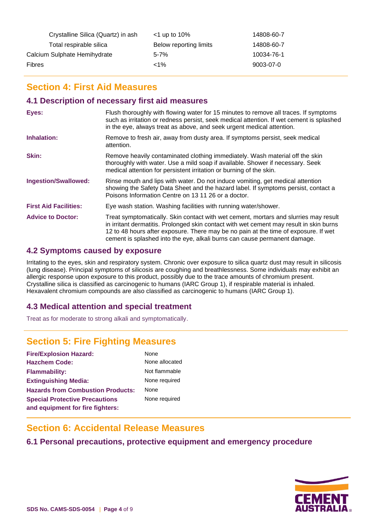| Crystalline Silica (Quartz) in ash | $<$ 1 up to 10%        | 14808-60-7 |
|------------------------------------|------------------------|------------|
| Total respirable silica            | Below reporting limits | 14808-60-7 |
| Calcium Sulphate Hemihydrate       | 5-7%                   | 10034-76-1 |
| Fibres                             | ${<}1\%$               | 9003-07-0  |

# **Section 4: First Aid Measures**

#### **4.1 Description of necessary first aid measures**

| Eyes:                        | Flush thoroughly with flowing water for 15 minutes to remove all traces. If symptoms<br>such as irritation or redness persist, seek medical attention. If wet cement is splashed<br>in the eye, always treat as above, and seek urgent medical attention.                                                                                           |
|------------------------------|-----------------------------------------------------------------------------------------------------------------------------------------------------------------------------------------------------------------------------------------------------------------------------------------------------------------------------------------------------|
| Inhalation:                  | Remove to fresh air, away from dusty area. If symptoms persist, seek medical<br>attention.                                                                                                                                                                                                                                                          |
| <b>Skin:</b>                 | Remove heavily contaminated clothing immediately. Wash material off the skin<br>thoroughly with water. Use a mild soap if available. Shower if necessary. Seek<br>medical attention for persistent irritation or burning of the skin.                                                                                                               |
| <b>Ingestion/Swallowed:</b>  | Rinse mouth and lips with water. Do not induce vomiting, get medical attention<br>showing the Safety Data Sheet and the hazard label. If symptoms persist, contact a<br>Poisons Information Centre on 13 11 26 or a doctor.                                                                                                                         |
| <b>First Aid Facilities:</b> | Eye wash station. Washing facilities with running water/shower.                                                                                                                                                                                                                                                                                     |
| <b>Advice to Doctor:</b>     | Treat symptomatically. Skin contact with wet cement, mortars and slurries may result<br>in irritant dermatitis. Prolonged skin contact with wet cement may result in skin burns<br>12 to 48 hours after exposure. There may be no pain at the time of exposure. If wet<br>cement is splashed into the eye, alkali burns can cause permanent damage. |

#### **4.2 Symptoms caused by exposure**

Irritating to the eyes, skin and respiratory system. Chronic over exposure to silica quartz dust may result in silicosis (lung disease). Principal symptoms of silicosis are coughing and breathlessness. Some individuals may exhibit an allergic response upon exposure to this product, possibly due to the trace amounts of chromium present. Crystalline silica is classified as carcinogenic to humans (IARC Group 1), if respirable material is inhaled. Hexavalent chromium compounds are also classified as carcinogenic to humans (IARC Group 1).

### **4.3 Medical attention and special treatment**

Treat as for moderate to strong alkali and symptomatically.

# **Section 5: Fire Fighting Measures**

| <b>Fire/Explosion Hazard:</b>            | None   |
|------------------------------------------|--------|
| <b>Hazchem Code:</b>                     | None   |
| <b>Flammability:</b>                     | Not fl |
| <b>Extinguishing Media:</b>              | None   |
| <b>Hazards from Combustion Products:</b> | None   |
| <b>Special Protective Precautions</b>    | None   |
| and equipment for fire fighters:         |        |

ne allocated flammable **Extinguishing Media:** None required ne required

### **Section 6: Accidental Release Measures**

### **6.1 Personal precautions, protective equipment and emergency procedure**

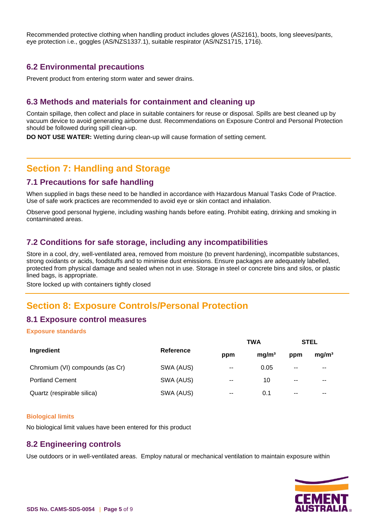Recommended protective clothing when handling product includes gloves (AS2161), boots, long sleeves/pants, eye protection i.e., goggles (AS/NZS1337.1), suitable respirator (AS/NZS1715, 1716).

#### **6.2 Environmental precautions**

Prevent product from entering storm water and sewer drains.

#### **6.3 Methods and materials for containment and cleaning up**

Contain spillage, then collect and place in suitable containers for reuse or disposal. Spills are best cleaned up by vacuum device to avoid generating airborne dust. Recommendations on Exposure Control and Personal Protection should be followed during spill clean-up.

**DO NOT USE WATER:** Wetting during clean-up will cause formation of setting cement.

### **Section 7: Handling and Storage**

#### **7.1 Precautions for safe handling**

When supplied in bags these need to be handled in accordance with Hazardous Manual Tasks Code of Practice. Use of safe work practices are recommended to avoid eye or skin contact and inhalation.

Observe good personal hygiene, including washing hands before eating. Prohibit eating, drinking and smoking in contaminated areas.

### **7.2 Conditions for safe storage, including any incompatibilities**

Store in a cool, dry, well-ventilated area, removed from moisture (to prevent hardening), incompatible substances, strong oxidants or acids, foodstuffs and to minimise dust emissions. Ensure packages are adequately labelled, protected from physical damage and sealed when not in use. Storage in steel or concrete bins and silos, or plastic lined bags, is appropriate.

Store locked up with containers tightly closed

# **Section 8: Exposure Controls/Personal Protection**

### **8.1 Exposure control measures**

#### **Exposure standards**

|                                 |           | <b>TWA</b>    |                   | <b>STEL</b>   |                   |
|---------------------------------|-----------|---------------|-------------------|---------------|-------------------|
| Ingredient                      | Reference |               | mg/m <sup>3</sup> | ppm           | mg/m <sup>3</sup> |
| Chromium (VI) compounds (as Cr) | SWA (AUS) | $\sim$ $\sim$ | 0.05              | $-$           | $- -$             |
| <b>Portland Cement</b>          | SWA (AUS) | $\sim$ $\sim$ | 10                | $\sim$ $\sim$ | $- -$             |
| Quartz (respirable silica)      | SWA (AUS) | $-$           | 0.1               | $- -$         | $- -$             |

#### **Biological limits**

No biological limit values have been entered for this product

#### **8.2 Engineering controls**

Use outdoors or in well-ventilated areas. Employ natural or mechanical ventilation to maintain exposure within

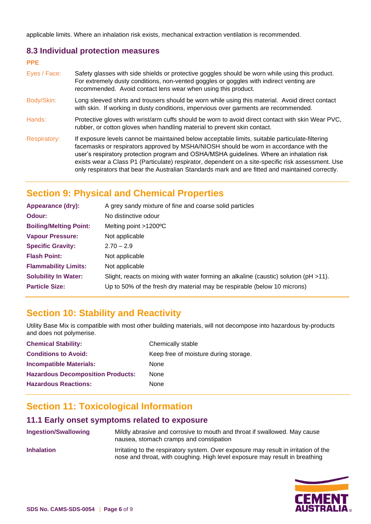applicable limits. Where an inhalation risk exists, mechanical extraction ventilation is recommended.

#### **8.3 Individual protection measures**

| <b>PPE</b>          |                                                                                                                                                                                                                                                                                                                                                                                                                                                                                                 |
|---------------------|-------------------------------------------------------------------------------------------------------------------------------------------------------------------------------------------------------------------------------------------------------------------------------------------------------------------------------------------------------------------------------------------------------------------------------------------------------------------------------------------------|
| Eyes / Face:        | Safety glasses with side shields or protective goggles should be worn while using this product.<br>For extremely dusty conditions, non-vented goggles or goggles with indirect venting are<br>recommended. Avoid contact lens wear when using this product.                                                                                                                                                                                                                                     |
| Body/Skin:          | Long sleeved shirts and trousers should be worn while using this material. Avoid direct contact<br>with skin. If working in dusty conditions, impervious over garments are recommended.                                                                                                                                                                                                                                                                                                         |
| Hands:              | Protective gloves with wrist/arm cuffs should be worn to avoid direct contact with skin Wear PVC,<br>rubber, or cotton gloves when handling material to prevent skin contact.                                                                                                                                                                                                                                                                                                                   |
| <b>Respiratory:</b> | If exposure levels cannot be maintained below acceptable limits, suitable particulate-filtering<br>facemasks or respirators approved by MSHA/NIOSH should be worn in accordance with the<br>user's respiratory protection program and OSHA/MSHA guidelines. Where an inhalation risk<br>exists wear a Class P1 (Particulate) respirator, dependent on a site-specific risk assessment. Use<br>only respirators that bear the Australian Standards mark and are fitted and maintained correctly. |

# **Section 9: Physical and Chemical Properties**

| Appearance (dry):             | A grey sandy mixture of fine and coarse solid particles                                   |
|-------------------------------|-------------------------------------------------------------------------------------------|
| Odour:                        | No distinctive odour                                                                      |
| <b>Boiling/Melting Point:</b> | Melting point $>1200^{\circ}$ C                                                           |
| <b>Vapour Pressure:</b>       | Not applicable                                                                            |
| <b>Specific Gravity:</b>      | $2.70 - 2.9$                                                                              |
| <b>Flash Point:</b>           | Not applicable                                                                            |
| <b>Flammability Limits:</b>   | Not applicable                                                                            |
| <b>Solubility In Water:</b>   | Slight, reacts on mixing with water forming an alkaline (caustic) solution ( $pH > 11$ ). |
| <b>Particle Size:</b>         | Up to 50% of the fresh dry material may be respirable (below 10 microns)                  |

# **Section 10: Stability and Reactivity**

Utility Base Mix is compatible with most other building materials, will not decompose into hazardous by-products and does not polymerise.

| <b>Chemical Stability:</b>               | Chemically stable                     |
|------------------------------------------|---------------------------------------|
| <b>Conditions to Avoid:</b>              | Keep free of moisture during storage. |
| <b>Incompatible Materials:</b>           | <b>None</b>                           |
| <b>Hazardous Decomposition Products:</b> | None                                  |
| <b>Hazardous Reactions:</b>              | None                                  |

# **Section 11: Toxicological Information**

# **11.1 Early onset symptoms related to exposure**

**Ingestion/Swallowing** Mildly abrasive and corrosive to mouth and throat if swallowed. May cause nausea, stomach cramps and constipation **Inhalation** Irritating to the respiratory system. Over exposure may result in irritation of the nose and throat, with coughing. High level exposure may result in breathing

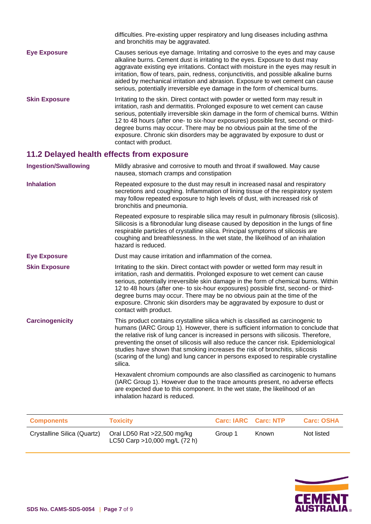|                      | difficulties. Pre-existing upper respiratory and lung diseases including asthma<br>and bronchitis may be aggravated.                                                                                                                                                                                                                                                                                                                                                                                                          |
|----------------------|-------------------------------------------------------------------------------------------------------------------------------------------------------------------------------------------------------------------------------------------------------------------------------------------------------------------------------------------------------------------------------------------------------------------------------------------------------------------------------------------------------------------------------|
| <b>Eye Exposure</b>  | Causes serious eye damage. Irritating and corrosive to the eyes and may cause<br>alkaline burns. Cement dust is irritating to the eyes. Exposure to dust may<br>aggravate existing eye irritations. Contact with moisture in the eyes may result in<br>irritation, flow of tears, pain, redness, conjunctivitis, and possible alkaline burns<br>aided by mechanical irritation and abrasion. Exposure to wet cement can cause<br>serious, potentially irreversible eye damage in the form of chemical burns.                  |
| <b>Skin Exposure</b> | Irritating to the skin. Direct contact with powder or wetted form may result in<br>irritation, rash and dermatitis. Prolonged exposure to wet cement can cause<br>serious, potentially irreversible skin damage in the form of chemical burns. Within<br>12 to 48 hours (after one- to six-hour exposures) possible first, second- or third-<br>degree burns may occur. There may be no obvious pain at the time of the<br>exposure. Chronic skin disorders may be aggravated by exposure to dust or<br>contact with product. |

# **11.2 Delayed health effects from exposure**

| <b>Ingestion/Swallowing</b> | Mildly abrasive and corrosive to mouth and throat if swallowed. May cause<br>nausea, stomach cramps and constipation                                                                                                                                                                                                                                                                                                                                                                                                              |
|-----------------------------|-----------------------------------------------------------------------------------------------------------------------------------------------------------------------------------------------------------------------------------------------------------------------------------------------------------------------------------------------------------------------------------------------------------------------------------------------------------------------------------------------------------------------------------|
| <b>Inhalation</b>           | Repeated exposure to the dust may result in increased nasal and respiratory<br>secretions and coughing. Inflammation of lining tissue of the respiratory system<br>may follow repeated exposure to high levels of dust, with increased risk of<br>bronchitis and pneumonia.                                                                                                                                                                                                                                                       |
|                             | Repeated exposure to respirable silica may result in pulmonary fibrosis (silicosis).<br>Silicosis is a fibronodular lung disease caused by deposition in the lungs of fine<br>respirable particles of crystalline silica. Principal symptoms of silicosis are<br>coughing and breathlessness. In the wet state, the likelihood of an inhalation<br>hazard is reduced.                                                                                                                                                             |
| <b>Eye Exposure</b>         | Dust may cause irritation and inflammation of the cornea.                                                                                                                                                                                                                                                                                                                                                                                                                                                                         |
| <b>Skin Exposure</b>        | Irritating to the skin. Direct contact with powder or wetted form may result in<br>irritation, rash and dermatitis. Prolonged exposure to wet cement can cause<br>serious, potentially irreversible skin damage in the form of chemical burns. Within<br>12 to 48 hours (after one- to six-hour exposures) possible first, second- or third-<br>degree burns may occur. There may be no obvious pain at the time of the<br>exposure. Chronic skin disorders may be aggravated by exposure to dust or<br>contact with product.     |
| <b>Carcinogenicity</b>      | This product contains crystalline silica which is classified as carcinogenic to<br>humans (IARC Group 1). However, there is sufficient information to conclude that<br>the relative risk of lung cancer is increased in persons with silicosis. Therefore,<br>preventing the onset of silicosis will also reduce the cancer risk. Epidemiological<br>studies have shown that smoking increases the risk of bronchitis, silicosis<br>(scaring of the lung) and lung cancer in persons exposed to respirable crystalline<br>silica. |
|                             | Hexavalent chromium compounds are also classified as carcinogenic to humans<br>(IARC Group 1). However due to the trace amounts present, no adverse effects<br>are expected due to this component. In the wet state, the likelihood of an<br>inhalation hazard is reduced.                                                                                                                                                                                                                                                        |

| <b>Components</b>           | <b>Toxicity</b>                                              | <b>Carc: IARC Carc: NTP</b> |       | <b>Carc: OSHA</b> |
|-----------------------------|--------------------------------------------------------------|-----------------------------|-------|-------------------|
| Crystalline Silica (Quartz) | Oral LD50 Rat >22,500 mg/kg<br>LC50 Carp >10,000 mg/L (72 h) | Group 1                     | Known | Not listed        |

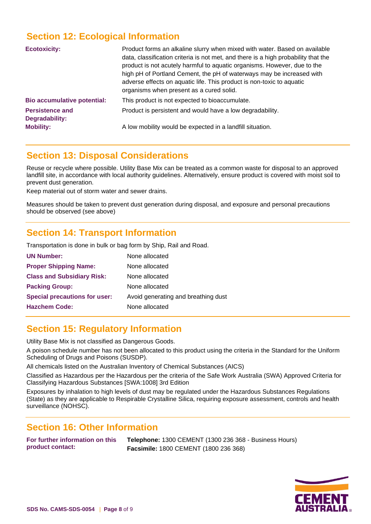# **Section 12: Ecological Information**

| <b>Ecotoxicity:</b>                      | Product forms an alkaline slurry when mixed with water. Based on available<br>data, classification criteria is not met, and there is a high probability that the<br>product is not acutely harmful to aquatic organisms. However, due to the<br>high pH of Portland Cement, the pH of waterways may be increased with<br>adverse effects on aquatic life. This product is non-toxic to aquatic<br>organisms when present as a cured solid. |
|------------------------------------------|--------------------------------------------------------------------------------------------------------------------------------------------------------------------------------------------------------------------------------------------------------------------------------------------------------------------------------------------------------------------------------------------------------------------------------------------|
| <b>Bio accumulative potential:</b>       | This product is not expected to bioaccumulate.                                                                                                                                                                                                                                                                                                                                                                                             |
| <b>Persistence and</b><br>Degradability: | Product is persistent and would have a low degradability.                                                                                                                                                                                                                                                                                                                                                                                  |
| <b>Mobility:</b>                         | A low mobility would be expected in a landfill situation.                                                                                                                                                                                                                                                                                                                                                                                  |

# **Section 13: Disposal Considerations**

Reuse or recycle where possible. Utility Base Mix can be treated as a common waste for disposal to an approved landfill site, in accordance with local authority guidelines. Alternatively, ensure product is covered with moist soil to prevent dust generation.

Keep material out of storm water and sewer drains.

Measures should be taken to prevent dust generation during disposal, and exposure and personal precautions should be observed (see above)

### **Section 14: Transport Information**

Transportation is done in bulk or bag form by Ship, Rail and Road.

| <b>UN Number:</b>                    | None allocated                      |
|--------------------------------------|-------------------------------------|
| <b>Proper Shipping Name:</b>         | None allocated                      |
| <b>Class and Subsidiary Risk:</b>    | None allocated                      |
| <b>Packing Group:</b>                | None allocated                      |
| <b>Special precautions for user:</b> | Avoid generating and breathing dust |
| <b>Hazchem Code:</b>                 | None allocated                      |
|                                      |                                     |

# **Section 15: Regulatory Information**

Utility Base Mix is not classified as Dangerous Goods.

A poison schedule number has not been allocated to this product using the criteria in the Standard for the Uniform Scheduling of Drugs and Poisons (SUSDP).

All chemicals listed on the Australian Inventory of Chemical Substances (AICS)

Classified as Hazardous per the Hazardous per the criteria of the Safe Work Australia (SWA) Approved Criteria for Classifying Hazardous Substances [SWA:1008] 3rd Edition

Exposures by inhalation to high levels of dust may be regulated under the Hazardous Substances Regulations (State) as they are applicable to Respirable Crystalline Silica, requiring exposure assessment, controls and health surveillance (NOHSC).

### **Section 16: Other Information**

**For further information on this product contact:**

**Telephone:** 1300 CEMENT (1300 236 368 - Business Hours) **Facsimile:** 1800 CEMENT (1800 236 368)